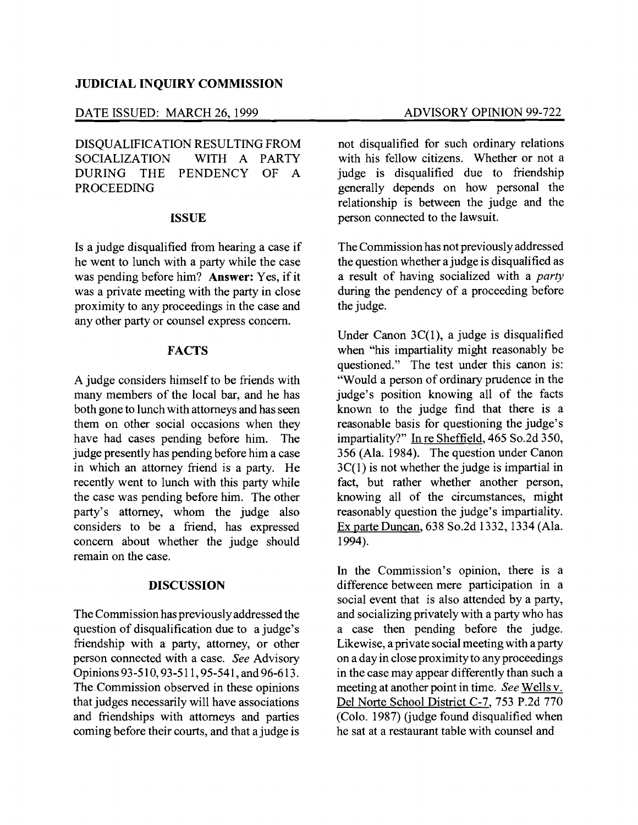## **JUDICIAL INQUIRY COMMISSION**

#### DATE ISSUED: MARCH 26, 1999 ADVISORY OPINION 99-722

DISQUALIFICATION RESULTING FROM WITH A PARTY DURING THE PENDENCY OF A PROCEEDING

### **ISSUE**

Is a judge disqualified from hearing a case if he went to lunch with a party while the case was pending before him? **Answer:** Yes, if it was a private meeting with the party in close proximity to any proceedings in the case and any other party or counsel express concern.

#### **FACTS**

A judge considers himself to be friends with many members of the local bar, and he has both gone to lunch with attorneys and has seen them on other social occasions when they have had cases pending before him. The judge presently has pending before him a case in which an attorney friend is a party. He recently went to lunch with this party while the case was pending before him. The other party's attorney, whom the judge also considers to be a friend, has expressed concern about whether the judge should remain on the case.

# **DISCUSSION**

The Commission has previouslyaddressed the question of disqualification due to a judge's friendship with a party, attorney, or other person connected with a case. *See* Advisory Opinions 93-510, 93-511, 95-541, and 96-613. The Commission observed in these opinions that judges necessarily will have associations and friendships with attorneys and parties coming before their courts, and that a judge is

not disqualified for such ordinary relations with his fellow citizens. Whether or not a judge is disqualified due to friendship generally depends on how personal the relationship is between the judge and the person connected to the lawsuit.

The Commission has not previously addressed the question whether a judge is disqualified as a result of having socialized with a *party*  during the pendency of a proceeding before the judge.

Under Canon 3C(1), a judge is disqualified when "his impartiality might reasonably be questioned." The test under this canon is: "Would a person of ordinary prudence in the judge's position knowing all of the facts known to the judge find that there is a reasonable basis for questioning the judge's impartiality?" In re Sheffield, 465 So.2d 350, 356 (Ala. 1984). The question under Canon 3C(1) is not whether the judge is impartial in fact, but rather whether another person, knowing all of the circumstances, might reasonably question the judge's impartiality. Ex parte Duncan, 638 So.2d 1332, 1334 (Ala. 1994).

In the Commission's opinion, there is a difference between mere participation in a social event that is also attended by a party, and socializing privately with a party who has a case then pending before the judge. Likewise, a private social meeting with a party on a day in close proximity to any proceedings in the case may appear differently than such a meeting at another point in time. *See* Wells v. Del Norte School District C-7, 753 P.2d 770 (Colo. 1987) (judge found disqualified when he sat at a restaurant table with counsel and